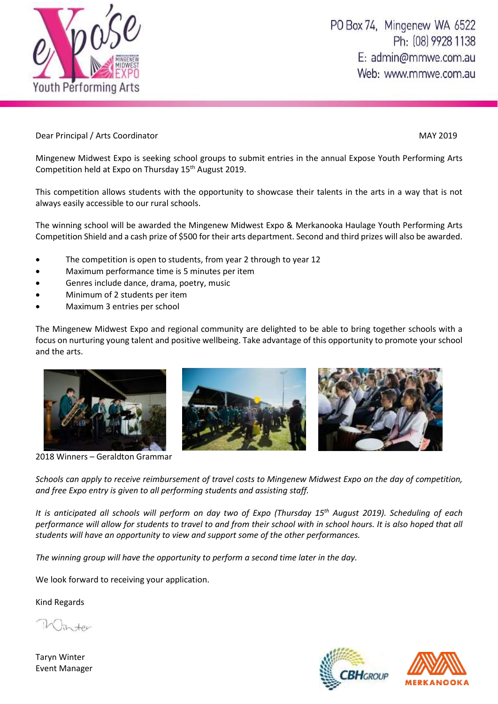

PO Box 74, Mingenew WA 6522 Ph: (08) 9928 1138 E: admin@mmwe.com.au Web: www.mmwe.com.au

Dear Principal / Arts Coordinator MAY 2019

Mingenew Midwest Expo is seeking school groups to submit entries in the annual Expose Youth Performing Arts Competition held at Expo on Thursday 15<sup>th</sup> August 2019.

This competition allows students with the opportunity to showcase their talents in the arts in a way that is not always easily accessible to our rural schools.

The winning school will be awarded the Mingenew Midwest Expo & Merkanooka Haulage Youth Performing Arts Competition Shield and a cash prize of \$500 for their arts department. Second and third prizes will also be awarded.

- The competition is open to students, from year 2 through to year 12
- Maximum performance time is 5 minutes per item
- Genres include dance, drama, poetry, music
- Minimum of 2 students per item
- Maximum 3 entries per school

The Mingenew Midwest Expo and regional community are delighted to be able to bring together schools with a focus on nurturing young talent and positive wellbeing. Take advantage of this opportunity to promote your school and the arts.



2018 Winners – Geraldton Grammar



Schools can apply to receive reimbursement of travel costs to Mingenew Midwest Expo on the day of competition, *and free Expo entry is given to all performing students and assisting staff.*

It is anticipated all schools will perform on day two of Expo (Thursday 15<sup>th</sup> August 2019). Scheduling of each performance will allow for students to travel to and from their school with in school hours. It is also hoped that all *students will have an opportunity to view and support some of the other performances.*

*The winning group will have the opportunity to perform a second time later in the day.*

We look forward to receiving your application.

Kind Regards

 $\hbar\hbar$  ter

Taryn Winter Event Manager